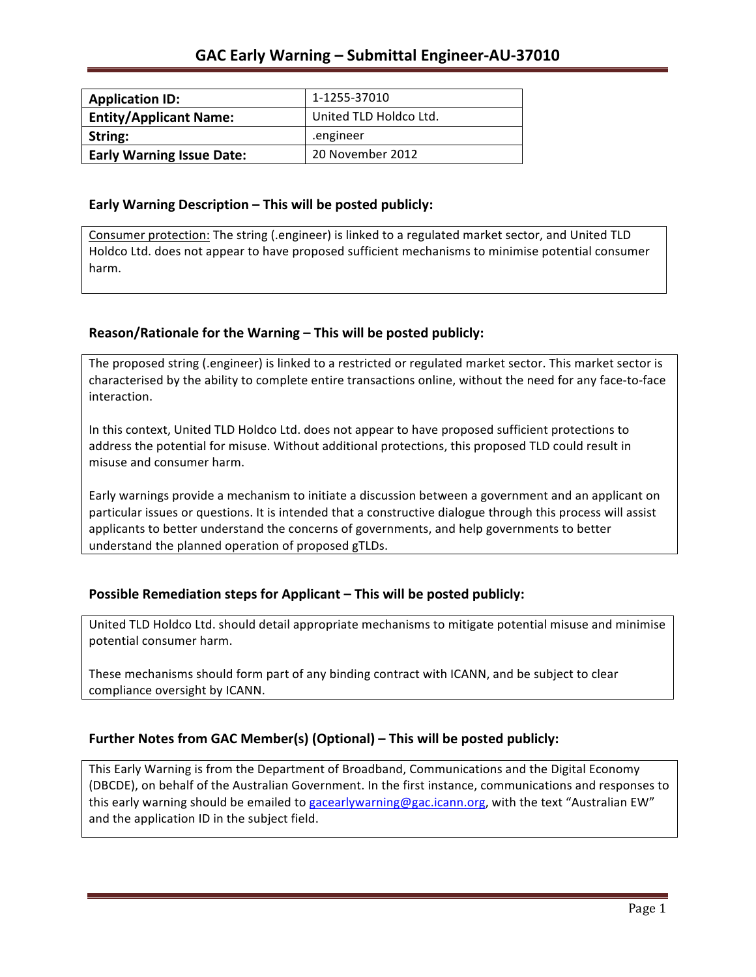| <b>Application ID:</b>           | 1-1255-37010           |
|----------------------------------|------------------------|
| <b>Entity/Applicant Name:</b>    | United TLD Holdco Ltd. |
| String:                          | .engineer              |
| <b>Early Warning Issue Date:</b> | 20 November 2012       |

### **Early Warning Description – This will be posted publicly:**

Consumer protection: The string (.engineer) is linked to a regulated market sector, and United TLD Holdco Ltd. does not appear to have proposed sufficient mechanisms to minimise potential consumer harm.

## **Reason/Rationale for the Warning – This will be posted publicly:**

The proposed string (.engineer) is linked to a restricted or regulated market sector. This market sector is characterised by the ability to complete entire transactions online, without the need for any face-to-face interaction.

In this context, United TLD Holdco Ltd. does not appear to have proposed sufficient protections to address the potential for misuse. Without additional protections, this proposed TLD could result in misuse and consumer harm.

Early warnings provide a mechanism to initiate a discussion between a government and an applicant on particular issues or questions. It is intended that a constructive dialogue through this process will assist applicants to better understand the concerns of governments, and help governments to better understand the planned operation of proposed gTLDs.

## **Possible Remediation steps for Applicant – This will be posted publicly:**

United TLD Holdco Ltd. should detail appropriate mechanisms to mitigate potential misuse and minimise potential consumer harm.

These mechanisms should form part of any binding contract with ICANN, and be subject to clear compliance oversight by ICANN.

## Further Notes from GAC Member(s) (Optional) – This will be posted publicly:

This Early Warning is from the Department of Broadband, Communications and the Digital Economy (DBCDE), on behalf of the Australian Government. In the first instance, communications and responses to this early warning should be emailed to gacearlywarning@gac.icann.org, with the text "Australian EW" and the application ID in the subject field.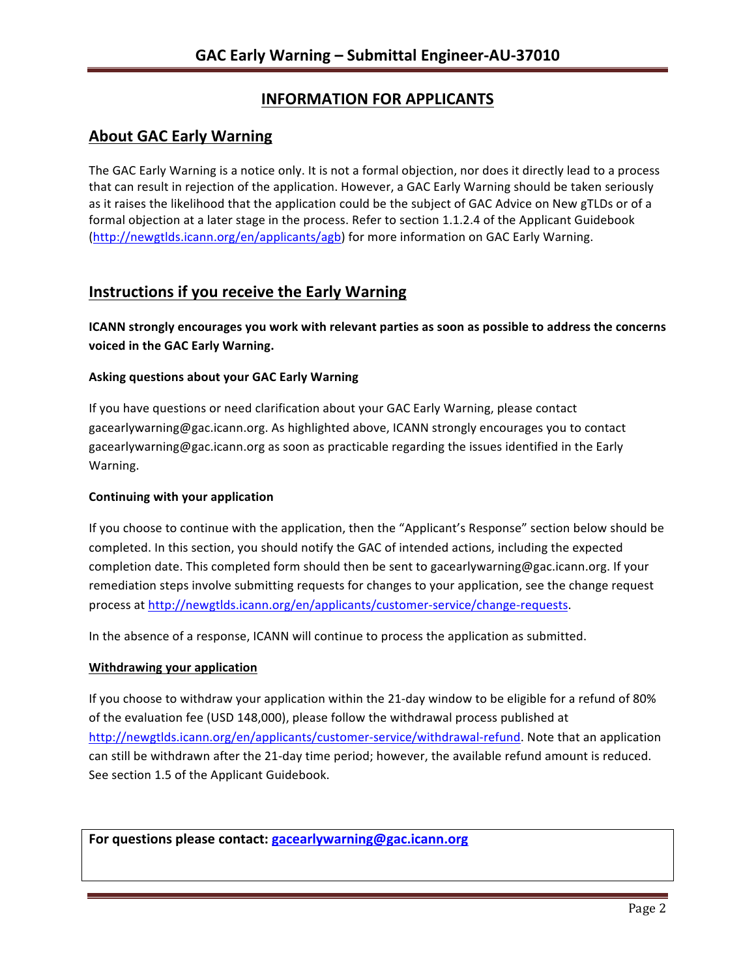# **INFORMATION FOR APPLICANTS**

## **About GAC Early Warning**

The GAC Early Warning is a notice only. It is not a formal objection, nor does it directly lead to a process that can result in rejection of the application. However, a GAC Early Warning should be taken seriously as it raises the likelihood that the application could be the subject of GAC Advice on New gTLDs or of a formal objection at a later stage in the process. Refer to section 1.1.2.4 of the Applicant Guidebook (http://newgtlds.icann.org/en/applicants/agb) for more information on GAC Early Warning.

## **Instructions if you receive the Early Warning**

**ICANN** strongly encourages you work with relevant parties as soon as possible to address the concerns **voiced in the GAC Early Warning.** 

### **Asking questions about your GAC Early Warning**

If you have questions or need clarification about your GAC Early Warning, please contact gacearlywarning@gac.icann.org. As highlighted above, ICANN strongly encourages you to contact gacearlywarning@gac.icann.org as soon as practicable regarding the issues identified in the Early Warning. 

### **Continuing with your application**

If you choose to continue with the application, then the "Applicant's Response" section below should be completed. In this section, you should notify the GAC of intended actions, including the expected completion date. This completed form should then be sent to gacearlywarning@gac.icann.org. If your remediation steps involve submitting requests for changes to your application, see the change request process at http://newgtlds.icann.org/en/applicants/customer-service/change-requests.

In the absence of a response, ICANN will continue to process the application as submitted.

### **Withdrawing your application**

If you choose to withdraw your application within the 21-day window to be eligible for a refund of 80% of the evaluation fee (USD 148,000), please follow the withdrawal process published at http://newgtlds.icann.org/en/applicants/customer-service/withdrawal-refund. Note that an application can still be withdrawn after the 21-day time period; however, the available refund amount is reduced. See section 1.5 of the Applicant Guidebook.

For questions please contact: gacearlywarning@gac.icann.org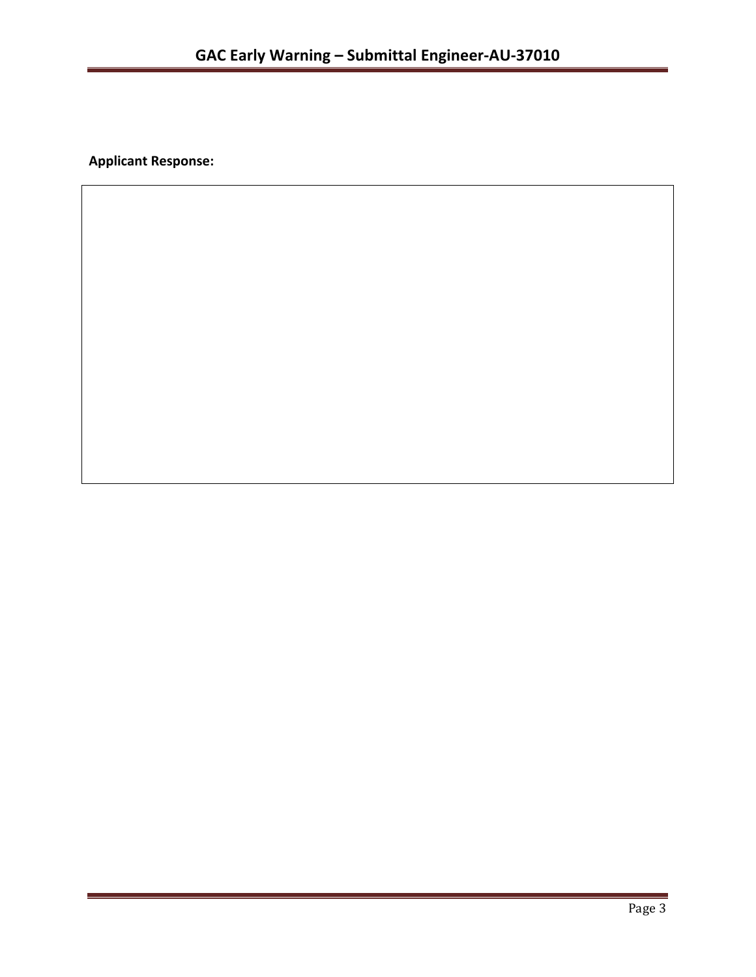**Applicant Response:**